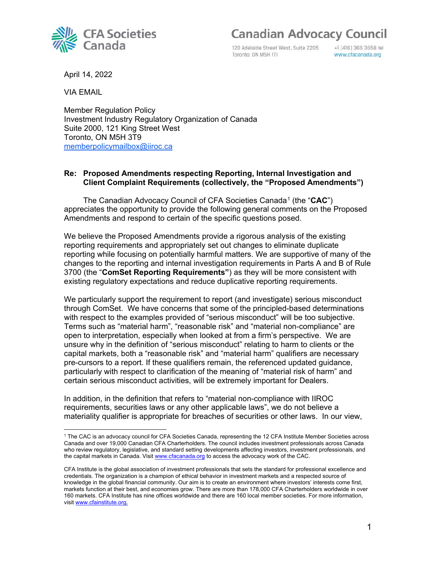120 Adelaide Street West, Suite 2205 Toronto, ON M5H ITI

+1 (416) 366 3658 tel www.cfacanada.org

April 14, 2022

**CFA Societies** 

Canada

VIA EMAIL

Member Regulation Policy Investment Industry Regulatory Organization of Canada Suite 2000, 121 King Street West Toronto, ON M5H 3T9 [memberpolicymailbox@iiroc.ca](mailto:memberpolicymailbox@iiroc.ca)

#### **Re: Proposed Amendments respecting Reporting, Internal Investigation and Client Complaint Requirements (collectively, the "Proposed Amendments")**

The Canadian Advocacy Council of CFA Societies Canada[1](#page-0-0) (the "**CAC**") appreciates the opportunity to provide the following general comments on the Proposed Amendments and respond to certain of the specific questions posed.

We believe the Proposed Amendments provide a rigorous analysis of the existing reporting requirements and appropriately set out changes to eliminate duplicate reporting while focusing on potentially harmful matters. We are supportive of many of the changes to the reporting and internal investigation requirements in Parts A and B of Rule 3700 (the "**ComSet Reporting Requirements"**) as they will be more consistent with existing regulatory expectations and reduce duplicative reporting requirements.

We particularly support the requirement to report (and investigate) serious misconduct through ComSet. We have concerns that some of the principled-based determinations with respect to the examples provided of "serious misconduct" will be too subjective. Terms such as "material harm", "reasonable risk" and "material non-compliance" are open to interpretation, especially when looked at from a firm's perspective. We are unsure why in the definition of "serious misconduct" relating to harm to clients or the capital markets, both a "reasonable risk" and "material harm" qualifiers are necessary pre-cursors to a report. If these qualifiers remain, the referenced updated guidance, particularly with respect to clarification of the meaning of "material risk of harm" and certain serious misconduct activities, will be extremely important for Dealers.

In addition, in the definition that refers to "material non-compliance with IIROC requirements, securities laws or any other applicable laws", we do not believe a materiality qualifier is appropriate for breaches of securities or other laws. In our view,

<span id="page-0-0"></span><sup>1</sup> The CAC is an advocacy council for CFA Societies Canada, representing the 12 CFA Institute Member Societies across Canada and over 19,000 Canadian CFA Charterholders. The council includes investment professionals across Canada who review regulatory, legislative, and standard setting developments affecting investors, investment professionals, and the capital markets in Canada. Visi[t www.cfacanada.org](http://www.cfacanada.org/) to access the advocacy work of the CAC.

CFA Institute is the global association of investment professionals that sets the standard for professional excellence and credentials. The organization is a champion of ethical behavior in investment markets and a respected source of knowledge in the global financial community. Our aim is to create an environment where investors' interests come first, markets function at their best, and economies grow. There are more than 178,000 CFA Charterholders worldwide in over 160 markets. CFA Institute has nine offices worldwide and there are 160 local member societies. For more information, visit [www.cfainstitute.org.](https://can01.safelinks.protection.outlook.com/?url=https%3A%2F%2Fcontactmonkey.com%2Fapi%2Fv1%2Ftracker%3Fcm_session%3D718960d0-5f2d-4f7a-a15c-f773090971d9%26cm_type%3Dlink%26cm_link%3D8955b667-be1f-4c99-b319-59993b649330%26cm_destination%3Dhttp%3A%2F%2Fwww.cfainstitute.org%2F&data=04%7C01%7CKPoster%40aumlaw.com%7C4d99da1c5c584f40fc2108d8ac00672c%7C24c15d4b08d24ae68ea356fa4589e175%7C0%7C0%7C637448465033829093%7CUnknown%7CTWFpbGZsb3d8eyJWIjoiMC4wLjAwMDAiLCJQIjoiV2luMzIiLCJBTiI6Ik1haWwiLCJXVCI6Mn0%3D%7C1000&sdata=ZHcFg4x2BYlL11Vsed5qVfOOdIFfaFzrALA7MXvQctY%3D&reserved=0)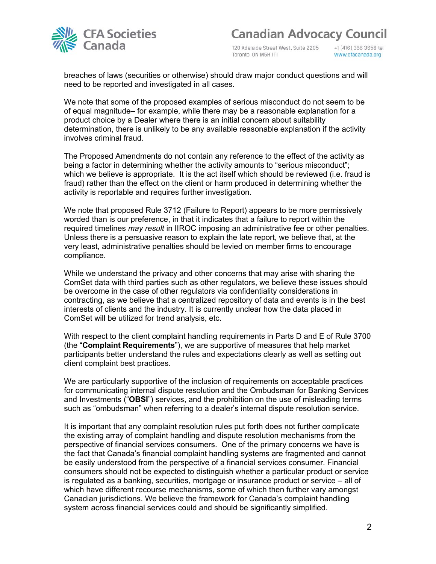

120 Adelaide Street West, Suite 2205 Toronto, ON M5H ITI

+1 (416) 366 3658 tel www.cfacanada.org

breaches of laws (securities or otherwise) should draw major conduct questions and will need to be reported and investigated in all cases.

We note that some of the proposed examples of serious misconduct do not seem to be of equal magnitude– for example, while there may be a reasonable explanation for a product choice by a Dealer where there is an initial concern about suitability determination, there is unlikely to be any available reasonable explanation if the activity involves criminal fraud.

The Proposed Amendments do not contain any reference to the effect of the activity as being a factor in determining whether the activity amounts to "serious misconduct"; which we believe is appropriate. It is the act itself which should be reviewed (i.e. fraud is fraud) rather than the effect on the client or harm produced in determining whether the activity is reportable and requires further investigation.

We note that proposed Rule 3712 (Failure to Report) appears to be more permissively worded than is our preference, in that it indicates that a failure to report within the required timelines *may result* in IIROC imposing an administrative fee or other penalties. Unless there is a persuasive reason to explain the late report, we believe that, at the very least, administrative penalties should be levied on member firms to encourage compliance.

While we understand the privacy and other concerns that may arise with sharing the ComSet data with third parties such as other regulators, we believe these issues should be overcome in the case of other regulators via confidentiality considerations in contracting, as we believe that a centralized repository of data and events is in the best interests of clients and the industry. It is currently unclear how the data placed in ComSet will be utilized for trend analysis, etc.

With respect to the client complaint handling requirements in Parts D and E of Rule 3700 (the "**Complaint Requirements**"), we are supportive of measures that help market participants better understand the rules and expectations clearly as well as setting out client complaint best practices.

We are particularly supportive of the inclusion of requirements on acceptable practices for communicating internal dispute resolution and the Ombudsman for Banking Services and Investments ("**OBSI**") services, and the prohibition on the use of misleading terms such as "ombudsman" when referring to a dealer's internal dispute resolution service.

It is important that any complaint resolution rules put forth does not further complicate the existing array of complaint handling and dispute resolution mechanisms from the perspective of financial services consumers. One of the primary concerns we have is the fact that Canada's financial complaint handling systems are fragmented and cannot be easily understood from the perspective of a financial services consumer. Financial consumers should not be expected to distinguish whether a particular product or service is regulated as a banking, securities, mortgage or insurance product or service – all of which have different recourse mechanisms, some of which then further vary amongst Canadian jurisdictions. We believe the framework for Canada's complaint handling system across financial services could and should be significantly simplified.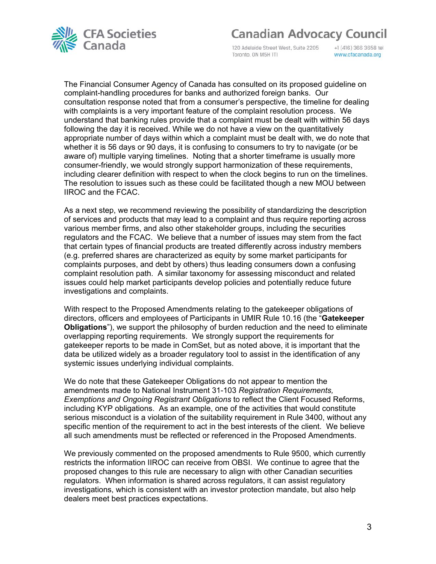

120 Adelaide Street West, Suite 2205 Toronto, ON M5H ITI

+1 (416) 366 3658 tel www.cfacanada.org

The Financial Consumer Agency of Canada has consulted on its proposed guideline on complaint-handling procedures for banks and authorized foreign banks. Our consultation response noted that from a consumer's perspective, the timeline for dealing with complaints is a very important feature of the complaint resolution process. We understand that banking rules provide that a complaint must be dealt with within 56 days following the day it is received. While we do not have a view on the quantitatively appropriate number of days within which a complaint must be dealt with, we do note that whether it is 56 days or 90 days, it is confusing to consumers to try to navigate (or be aware of) multiple varying timelines. Noting that a shorter timeframe is usually more consumer-friendly, we would strongly support harmonization of these requirements, including clearer definition with respect to when the clock begins to run on the timelines. The resolution to issues such as these could be facilitated though a new MOU between IIROC and the FCAC.

As a next step, we recommend reviewing the possibility of standardizing the description of services and products that may lead to a complaint and thus require reporting across various member firms, and also other stakeholder groups, including the securities regulators and the FCAC. We believe that a number of issues may stem from the fact that certain types of financial products are treated differently across industry members (e.g. preferred shares are characterized as equity by some market participants for complaints purposes, and debt by others) thus leading consumers down a confusing complaint resolution path. A similar taxonomy for assessing misconduct and related issues could help market participants develop policies and potentially reduce future investigations and complaints.

With respect to the Proposed Amendments relating to the gatekeeper obligations of directors, officers and employees of Participants in UMIR Rule 10.16 (the "**Gatekeeper Obligations**"), we support the philosophy of burden reduction and the need to eliminate overlapping reporting requirements. We strongly support the requirements for gatekeeper reports to be made in ComSet, but as noted above, it is important that the data be utilized widely as a broader regulatory tool to assist in the identification of any systemic issues underlying individual complaints.

We do note that these Gatekeeper Obligations do not appear to mention the amendments made to National Instrument 31-103 *Registration Requirements, Exemptions and Ongoing Registrant Obligations* to reflect the Client Focused Reforms, including KYP obligations. As an example, one of the activities that would constitute serious misconduct is a violation of the suitability requirement in Rule 3400, without any specific mention of the requirement to act in the best interests of the client. We believe all such amendments must be reflected or referenced in the Proposed Amendments.

We previously commented on the proposed amendments to Rule 9500, which currently restricts the information IIROC can receive from OBSI. We continue to agree that the proposed changes to this rule are necessary to align with other Canadian securities regulators. When information is shared across regulators, it can assist regulatory investigations, which is consistent with an investor protection mandate, but also help dealers meet best practices expectations.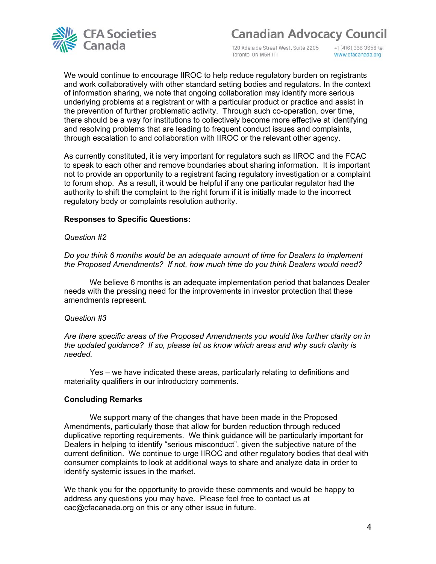

120 Adelaide Street West, Suite 2205 Toronto, ON M5H ITI

+1 (416) 366 3658 tel www.cfacanada.org

We would continue to encourage IIROC to help reduce regulatory burden on registrants and work collaboratively with other standard setting bodies and regulators. In the context of information sharing, we note that ongoing collaboration may identify more serious underlying problems at a registrant or with a particular product or practice and assist in the prevention of further problematic activity. Through such co-operation, over time, there should be a way for institutions to collectively become more effective at identifying and resolving problems that are leading to frequent conduct issues and complaints, through escalation to and collaboration with IIROC or the relevant other agency.

As currently constituted, it is very important for regulators such as IIROC and the FCAC to speak to each other and remove boundaries about sharing information. It is important not to provide an opportunity to a registrant facing regulatory investigation or a complaint to forum shop. As a result, it would be helpful if any one particular regulator had the authority to shift the complaint to the right forum if it is initially made to the incorrect regulatory body or complaints resolution authority.

#### **Responses to Specific Questions:**

#### *Question #2*

*Do you think 6 months would be an adequate amount of time for Dealers to implement the Proposed Amendments? If not, how much time do you think Dealers would need?*

We believe 6 months is an adequate implementation period that balances Dealer needs with the pressing need for the improvements in investor protection that these amendments represent.

#### *Question #3*

*Are there specific areas of the Proposed Amendments you would like further clarity on in the updated guidance? If so, please let us know which areas and why such clarity is needed.*

Yes – we have indicated these areas, particularly relating to definitions and materiality qualifiers in our introductory comments.

#### **Concluding Remarks**

We support many of the changes that have been made in the Proposed Amendments, particularly those that allow for burden reduction through reduced duplicative reporting requirements. We think guidance will be particularly important for Dealers in helping to identify "serious misconduct", given the subjective nature of the current definition. We continue to urge IIROC and other regulatory bodies that deal with consumer complaints to look at additional ways to share and analyze data in order to identify systemic issues in the market.

We thank you for the opportunity to provide these comments and would be happy to address any questions you may have. Please feel free to contact us at cac@cfacanada.org on this or any other issue in future.